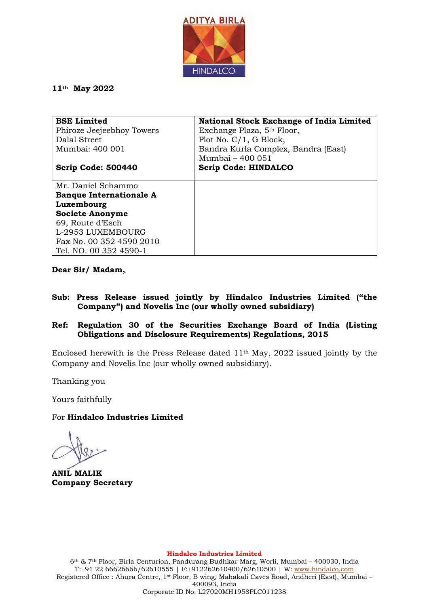

## 11th May 2022

| <b>BSE Limited</b>             | <b>National Stock Exchange of India Limited</b> |
|--------------------------------|-------------------------------------------------|
| Phiroze Jeejeebhoy Towers      | Exchange Plaza, 5 <sup>th</sup> Floor,          |
| Dalal Street                   | Plot No. $C/1$ , G Block,                       |
| Mumbai: 400 001                | Bandra Kurla Complex, Bandra (East)             |
|                                | Mumbai – 400 051                                |
| Scrip Code: 500440             | <b>Scrip Code: HINDALCO</b>                     |
|                                |                                                 |
| Mr. Daniel Schammo             |                                                 |
| <b>Banque Internationale A</b> |                                                 |
| Luxembourg                     |                                                 |
| <b>Societe Anonyme</b>         |                                                 |
| 69, Route d'Esch               |                                                 |
| L-2953 LUXEMBOURG              |                                                 |
| Fax No. 00 352 4590 2010       |                                                 |
| Tel. NO. 00 352 4590-1         |                                                 |

Dear Sir/ Madam,

- Sub: Press Release issued jointly by Hindalco Industries Limited ("the Company") and Novelis Inc (our wholly owned subsidiary)
- Ref: Regulation 30 of the Securities Exchange Board of India (Listing Obligations and Disclosure Requirements) Regulations, 2015

Enclosed herewith is the Press Release dated 11th May, 2022 issued jointly by the Company and Novelis Inc (our wholly owned subsidiary).

Thanking you

Yours faithfully

## For Hindalco Industries Limited

ANIL MALIK Company Secretary

Hindalco Industries Limited

6th & 7th Floor, Birla Centurion, Pandurang Budhkar Marg, Worli, Mumbai – 400030, India T:+91 22 66626666/62610555 | F:+912262610400/62610500 | W: www.hindalco.com Registered Office : Ahura Centre, 1st Floor, B wing, Mahakali Caves Road, Andheri (East), Mumbai – 400093, India Corporate ID No: L27020MH1958PLC011238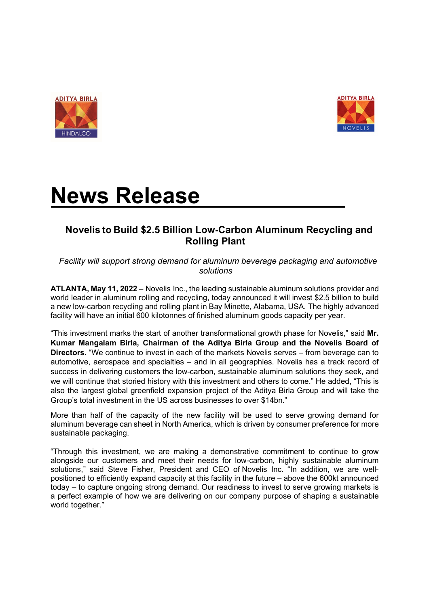



# News Release

# Novelis to Build \$2.5 Billion Low-Carbon Aluminum Recycling and Rolling Plant

Facility will support strong demand for aluminum beverage packaging and automotive solutions

ATLANTA, May 11, 2022 – Novelis Inc., the leading sustainable aluminum solutions provider and world leader in aluminum rolling and recycling, today announced it will invest \$2.5 billion to build a new low-carbon recycling and rolling plant in Bay Minette, Alabama, USA. The highly advanced facility will have an initial 600 kilotonnes of finished aluminum goods capacity per year.

"This investment marks the start of another transformational growth phase for Novelis," said Mr. Kumar Mangalam Birla, Chairman of the Aditya Birla Group and the Novelis Board of Directors. "We continue to invest in each of the markets Novelis serves – from beverage can to automotive, aerospace and specialties – and in all geographies. Novelis has a track record of success in delivering customers the low-carbon, sustainable aluminum solutions they seek, and we will continue that storied history with this investment and others to come." He added, "This is also the largest global greenfield expansion project of the Aditya Birla Group and will take the Group's total investment in the US across businesses to over \$14bn."

More than half of the capacity of the new facility will be used to serve growing demand for aluminum beverage can sheet in North America, which is driven by consumer preference for more sustainable packaging.

"Through this investment, we are making a demonstrative commitment to continue to grow alongside our customers and meet their needs for low-carbon, highly sustainable aluminum solutions," said Steve Fisher, President and CEO of Novelis Inc. "In addition, we are wellpositioned to efficiently expand capacity at this facility in the future – above the 600kt announced today – to capture ongoing strong demand. Our readiness to invest to serve growing markets is a perfect example of how we are delivering on our company purpose of shaping a sustainable world together."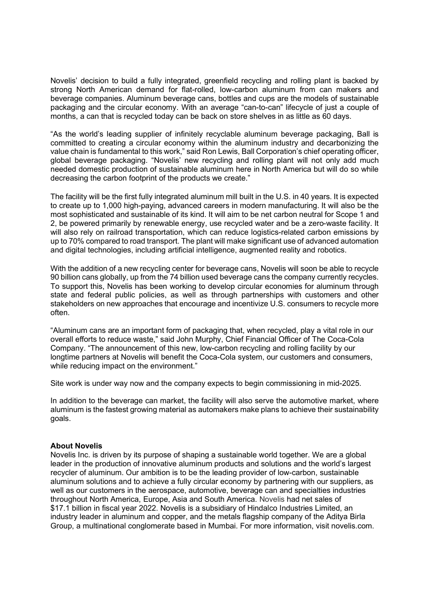Novelis' decision to build a fully integrated, greenfield recycling and rolling plant is backed by strong North American demand for flat-rolled, low-carbon aluminum from can makers and beverage companies. Aluminum beverage cans, bottles and cups are the models of sustainable packaging and the circular economy. With an average "can-to-can" lifecycle of just a couple of months, a can that is recycled today can be back on store shelves in as little as 60 days.

"As the world's leading supplier of infinitely recyclable aluminum beverage packaging, Ball is committed to creating a circular economy within the aluminum industry and decarbonizing the value chain is fundamental to this work," said Ron Lewis, Ball Corporation's chief operating officer, global beverage packaging. "Novelis' new recycling and rolling plant will not only add much needed domestic production of sustainable aluminum here in North America but will do so while decreasing the carbon footprint of the products we create."

The facility will be the first fully integrated aluminum mill built in the U.S. in 40 years. It is expected to create up to 1,000 high-paying, advanced careers in modern manufacturing. It will also be the most sophisticated and sustainable of its kind. It will aim to be net carbon neutral for Scope 1 and 2, be powered primarily by renewable energy, use recycled water and be a zero-waste facility. It will also rely on railroad transportation, which can reduce logistics-related carbon emissions by up to 70% compared to road transport. The plant will make significant use of advanced automation and digital technologies, including artificial intelligence, augmented reality and robotics.

With the addition of a new recycling center for beverage cans, Novelis will soon be able to recycle 90 billion cans globally, up from the 74 billion used beverage cans the company currently recycles. To support this, Novelis has been working to develop circular economies for aluminum through state and federal public policies, as well as through partnerships with customers and other stakeholders on new approaches that encourage and incentivize U.S. consumers to recycle more often.

"Aluminum cans are an important form of packaging that, when recycled, play a vital role in our overall efforts to reduce waste," said John Murphy, Chief Financial Officer of The Coca-Cola Company. "The announcement of this new, low-carbon recycling and rolling facility by our longtime partners at Novelis will benefit the Coca-Cola system, our customers and consumers, while reducing impact on the environment."

Site work is under way now and the company expects to begin commissioning in mid-2025.

In addition to the beverage can market, the facility will also serve the automotive market, where aluminum is the fastest growing material as automakers make plans to achieve their sustainability goals.

### About Novelis

Novelis Inc. is driven by its purpose of shaping a sustainable world together. We are a global leader in the production of innovative aluminum products and solutions and the world's largest recycler of aluminum. Our ambition is to be the leading provider of low-carbon, sustainable aluminum solutions and to achieve a fully circular economy by partnering with our suppliers, as well as our customers in the aerospace, automotive, beverage can and specialties industries throughout North America, Europe, Asia and South America. Novelis had net sales of \$17.1 billion in fiscal year 2022. Novelis is a subsidiary of Hindalco Industries Limited, an industry leader in aluminum and copper, and the metals flagship company of the Aditya Birla Group, a multinational conglomerate based in Mumbai. For more information, visit novelis.com.